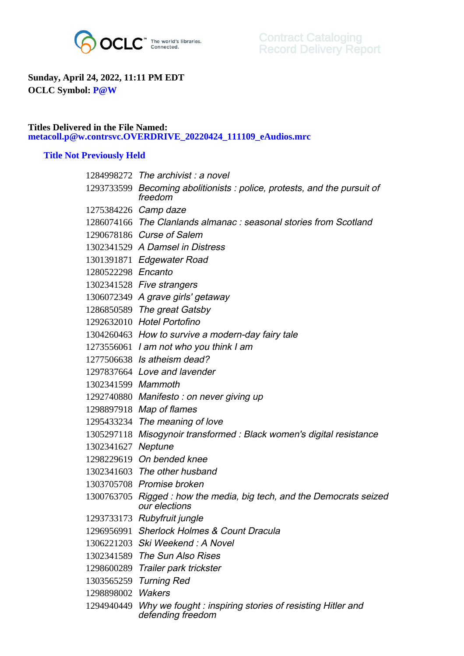

## **Sunday, April 24, 2022, 11:11 PM EDT OCLC Symbol: P@W**

## **Titles Delivered in the File Named: metacoll.p@w.contrsvc.OVERDRIVE\_20220424\_111109\_eAudios.mrc**

## **Title Not Previously Held**

|                    | 1284998272 The archivist: a novel                                                     |
|--------------------|---------------------------------------------------------------------------------------|
|                    | 1293733599 Becoming abolitionists: police, protests, and the pursuit of<br>freedom    |
|                    | 1275384226 Camp daze                                                                  |
|                    | 1286074166 The Clanlands almanac: seasonal stories from Scotland                      |
|                    | 1290678186 Curse of Salem                                                             |
|                    | 1302341529 A Damsel in Distress                                                       |
|                    | 1301391871 Edgewater Road                                                             |
| 1280522298 Encanto |                                                                                       |
|                    | 1302341528 Five strangers                                                             |
|                    | 1306072349 A grave girls' getaway                                                     |
|                    | 1286850589 The great Gatsby                                                           |
|                    | 1292632010 Hotel Portofino                                                            |
|                    | 1304260463 How to survive a modern-day fairy tale                                     |
|                    | 1273556061 1 am not who you think I am                                                |
|                    | 1277506638 Is atheism dead?                                                           |
|                    | 1297837664 Love and lavender                                                          |
| 1302341599 Mammoth |                                                                                       |
|                    | 1292740880 Manifesto: on never giving up                                              |
|                    | 1298897918 Map of flames                                                              |
|                    | 1295433234 The meaning of love                                                        |
|                    | 1305297118 Misogynoir transformed : Black women's digital resistance                  |
| 1302341627 Neptune |                                                                                       |
|                    | 1298229619 On bended knee                                                             |
|                    | 1302341603 The other husband                                                          |
|                    | 1303705708 Promise broken                                                             |
|                    | 1300763705 Rigged: how the media, big tech, and the Democrats seized<br>our elections |
|                    | 1293733173 Rubyfruit jungle                                                           |
|                    | 1296956991 Sherlock Holmes & Count Dracula                                            |
|                    | 1306221203 Ski Weekend: A Novel                                                       |
|                    | 1302341589 The Sun Also Rises                                                         |
|                    | 1298600289 Trailer park trickster                                                     |
| 1303565259         | <b>Turning Red</b>                                                                    |
| 1298898002         | <b>Wakers</b>                                                                         |
| 1294940449         | Why we fought: inspiring stories of resisting Hitler and<br>defending freedom         |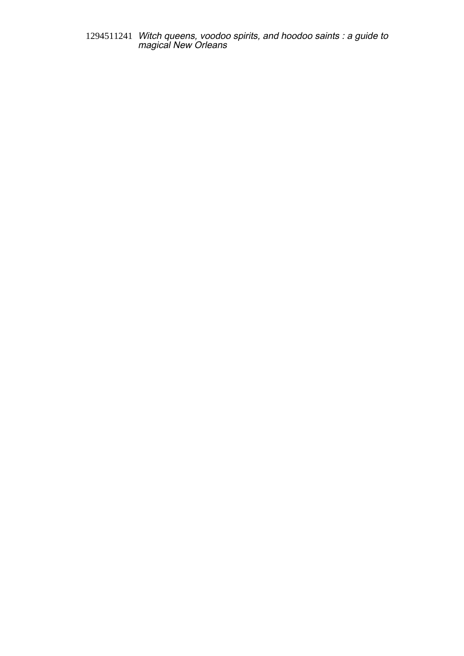1294511241 Witch queens, voodoo spirits, and hoodoo saints : a guide to magical New Orleans